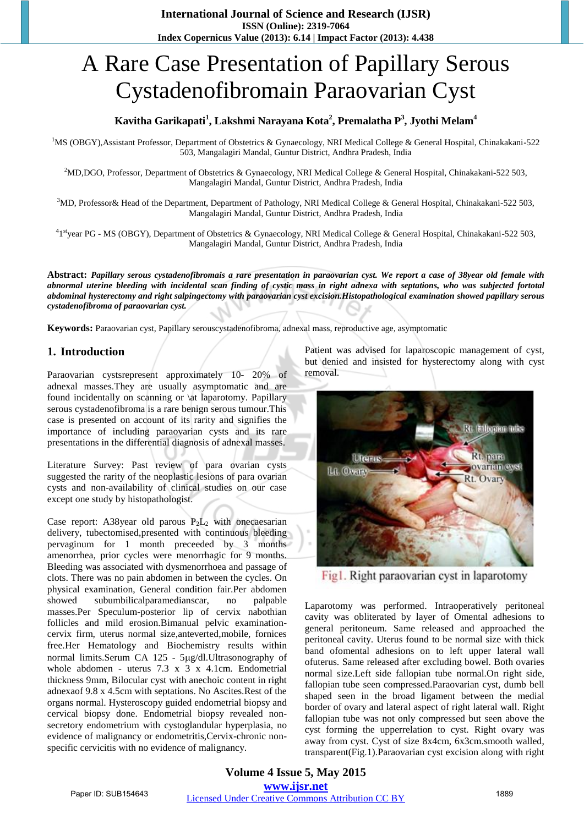# A Rare Case Presentation of Papillary Serous Cystadenofibromain Paraovarian Cyst

# **Kavitha Garikapati<sup>1</sup> , Lakshmi Narayana Kota<sup>2</sup> , Premalatha P<sup>3</sup> , Jyothi Melam<sup>4</sup>**

<sup>1</sup>MS (OBGY),Assistant Professor, Department of Obstetrics & Gynaecology, NRI Medical College & General Hospital, Chinakakani-522 503, Mangalagiri Mandal, Guntur District, Andhra Pradesh, India

<sup>2</sup>MD,DGO, Professor, Department of Obstetrics & Gynaecology, NRI Medical College & General Hospital, Chinakakani-522 503, Mangalagiri Mandal, Guntur District, Andhra Pradesh, India

<sup>3</sup>MD, Professor& Head of the Department, Department of Pathology, NRI Medical College & General Hospital, Chinakakani-522 503, Mangalagiri Mandal, Guntur District, Andhra Pradesh, India

<sup>4</sup>1<sup>st</sup>year PG - MS (OBGY), Department of Obstetrics & Gynaecology, NRI Medical College & General Hospital, Chinakakani-522 503, Mangalagiri Mandal, Guntur District, Andhra Pradesh, India

**Abstract:** *Papillary serous cystadenofibromais a rare presentation in paraovarian cyst. We report a case of 38year old female with abnormal uterine bleeding with incidental scan finding of cystic mass in right adnexa with septations, who was subjected fortotal abdominal hysterectomy and right salpingectomy with paraovarian cyst excision.Histopathological examination showed papillary serous cystadenofibroma of paraovarian cyst.*

**Keywords:** Paraovarian cyst, Papillary serouscystadenofibroma, adnexal mass, reproductive age, asymptomatic

## **1. Introduction**

Paraovarian cystsrepresent approximately 10- 20% of adnexal masses.They are usually asymptomatic and are found incidentally on scanning or \at laparotomy. Papillary serous cystadenofibroma is a rare benign serous tumour.This case is presented on account of its rarity and signifies the importance of including paraovarian cysts and its rare presentations in the differential diagnosis of adnexal masses.

Literature Survey: Past review of para ovarian cysts suggested the rarity of the neoplastic lesions of para ovarian cysts and non-availability of clinical studies on our case except one study by histopathologist.

Case report: A38year old parous  $P_2L_2$  with onecaesarian delivery, tubectomised,presented with continuous bleeding pervaginum for 1 month preceeded by 3 months amenorrhea, prior cycles were menorrhagic for 9 months. Bleeding was associated with dysmenorrhoea and passage of clots. There was no pain abdomen in between the cycles. On physical examination, General condition fair.Per abdomen showed subumbilicalparamedianscar, no palpable masses.Per Speculum-posterior lip of cervix nabothian follicles and mild erosion.Bimanual pelvic examinationcervix firm, uterus normal size,anteverted,mobile, fornices free.Her Hematology and Biochemistry results within normal limits.Serum CA 125 - 5µg/dl.Ultrasonography of whole abdomen - uterus 7.3 x 3 x 4.1cm. Endometrial thickness 9mm, Bilocular cyst with anechoic content in right adnexaof 9.8 x 4.5cm with septations. No Ascites.Rest of the organs normal. Hysteroscopy guided endometrial biopsy and cervical biopsy done. Endometrial biopsy revealed nonsecretory endometrium with cystoglandular hyperplasia, no evidence of malignancy or endometritis,Cervix-chronic nonspecific cervicitis with no evidence of malignancy.

Patient was advised for laparoscopic management of cyst, but denied and insisted for hysterectomy along with cyst removal.



Fig1. Right paraovarian cyst in laparotomy

Laparotomy was performed. Intraoperatively peritoneal cavity was obliterated by layer of Omental adhesions to general peritoneum. Same released and approached the peritoneal cavity. Uterus found to be normal size with thick band ofomental adhesions on to left upper lateral wall ofuterus. Same released after excluding bowel. Both ovaries normal size.Left side fallopian tube normal.On right side, fallopian tube seen compressed.Paraovarian cyst, dumb bell shaped seen in the broad ligament between the medial border of ovary and lateral aspect of right lateral wall. Right fallopian tube was not only compressed but seen above the cyst forming the upperrelation to cyst. Right ovary was away from cyst. Cyst of size 8x4cm, 6x3cm.smooth walled, transparent(Fig.1).Paraovarian cyst excision along with right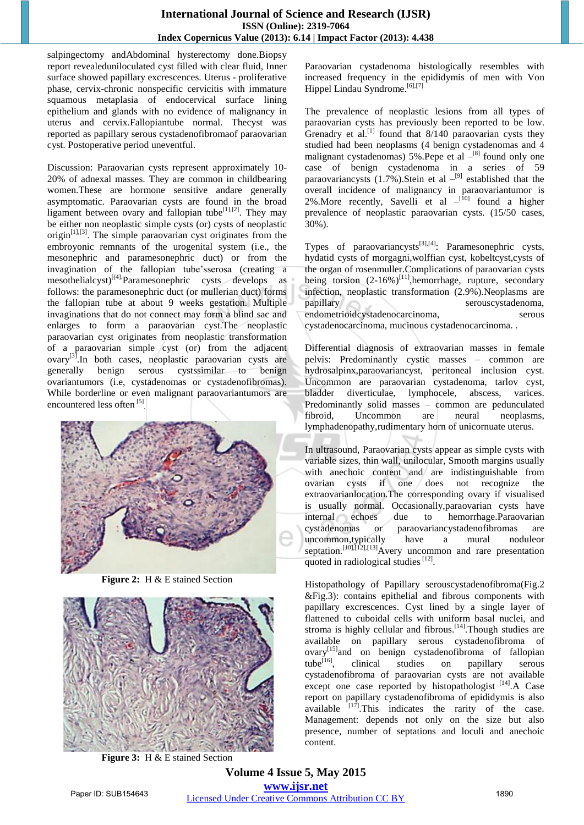salpingectomy andAbdominal hysterectomy done.Biopsy report revealeduniloculated cyst filled with clear fluid, Inner surface showed papillary excrescences. Uterus - proliferative phase, cervix-chronic nonspecific cervicitis with immature squamous metaplasia of endocervical surface lining epithelium and glands with no evidence of malignancy in uterus and cervix.Fallopiantube normal. Thecyst was reported as papillary serous cystadenofibromaof paraovarian cyst. Postoperative period uneventful.

Discussion: Paraovarian cysts represent approximately 10- 20% of adnexal masses. They are common in childbearing women.These are hormone sensitive andare generally asymptomatic. Paraovarian cysts are found in the broad ligament between ovary and fallopian tube<sup>[1],[2]</sup>. They may be either non neoplastic simple cysts (or) cysts of neoplastic  $origin^{[1],[3]}$ . The simple paraovarian cyst originates from the embroyonic remnants of the urogenital system (i.e., the mesonephric and paramesonephric duct) or from the invagination of the fallopian tube'sserosa (creating a mesothelialcyst) $\begin{bmatrix} (4) \\ P \end{bmatrix}$ Paramesonephric cysts develops as follows: the paramesonephric duct (or mullerian duct) forms the fallopian tube at about 9 weeks gestation. Multiple invaginations that do not connect may form a blind sac and enlarges to form a paraovarian cyst.The neoplastic paraovarian cyst originates from neoplastic transformation of a paraovarian simple cyst (or) from the adjacent  $\alpha$ vary<sup>[3]</sup>.In both cases, neoplastic paraovarian cysts are generally benign serous cystssimilar to benign ovariantumors (i.e, cystadenomas or cystadenofibromas). While borderline or even malignant paraovariantumors are encountered less often<sup>[5]</sup>.



**Figure 2:** H & E stained Section



**Figure 3:** H & E stained Section

Paraovarian cystadenoma histologically resembles with increased frequency in the epididymis of men with Von Hippel Lindau Syndrome.<sup>[6],[7]</sup>

The prevalence of neoplastic lesions from all types of paraovarian cysts has previously been reported to be low. Grenadry et al.<sup>[1]</sup> found that 8/140 paraovarian cysts they studied had been neoplasms (4 benign cystadenomas and 4 malignant cystadenomas) 5%. Pepe et al  $-$ [8] found only one case of benign cystadenoma in a series of 59 paraovariancysts  $(1.7\%)$ . Stein et al  $-^{[9]}$  established that the overall incidence of malignancy in paraovariantumor is 2%. More recently, Savelli et al  $-$ <sup>[10]</sup> found a higher prevalence of neoplastic paraovarian cysts. (15/50 cases, 30%).

Types of paraovariancysts<sup>[3],[4]</sup>: Paramesonephric cysts, hydatid cysts of morgagni,wolffian cyst, kobeltcyst,cysts of the organ of rosenmuller.Complications of paraovarian cysts being torsion (2-16%)<sup>[11]</sup>,hemorrhage, rupture, secondary infection, neoplastic transformation (2.9%).Neoplasms are papillary serouscystadenoma, endometrioidcystadenocarcinoma, serous cystadenocarcinoma, mucinous cystadenocarcinoma. .

Differential diagnosis of extraovarian masses in female pelvis: Predominantly cystic masses – common are hydrosalpinx,paraovariancyst, peritoneal inclusion cyst. Uncommon are paraovarian cystadenoma, tarlov cyst, bladder diverticulae, lymphocele, abscess, varices. Predominantly solid masses – common are pedunculated fibroid, Uncommon are neural neoplasms, lymphadenopathy,rudimentary horn of unicornuate uterus.

In ultrasound, Paraovarian cysts appear as simple cysts with variable sizes, thin wall, unilocular, Smooth margins usually with anechoic content and are indistinguishable from ovarian cysts if one does not recognize the extraovarianlocation.The corresponding ovary if visualised is usually normal. Occasionally,paraovarian cysts have internal echoes due to hemorrhage.Paraovarian cystadenomas or paraovariancystadenofibromas are uncommon,typically have a mural noduleor septation.<sup>[10],[12],[13]</sup>Avery uncommon and rare presentation quoted in radiological studies<sup>[12]</sup>.

Histopathology of Papillary serouscystadenofibroma(Fig.2 &Fig.3): contains epithelial and fibrous components with papillary excrescences. Cyst lined by a single layer of flattened to cuboidal cells with uniform basal nuclei, and stroma is highly cellular and fibrous.<sup>[14]</sup>. Though studies are available on papillary serous cystadenofibroma of ovary<sup>[15]</sup>and on benign cystadenofibroma of fallopian tube<sup>[16]</sup>, clinical studies on papillary serous clinical studies on papillary serous cystadenofibroma of paraovarian cysts are not available except one case reported by histopathologist [14]. A Case report on papillary cystadenofibroma of epididymis is also available  $[17]$ . This indicates the rarity of the case. Management: depends not only on the size but also presence, number of septations and loculi and anechoic content.